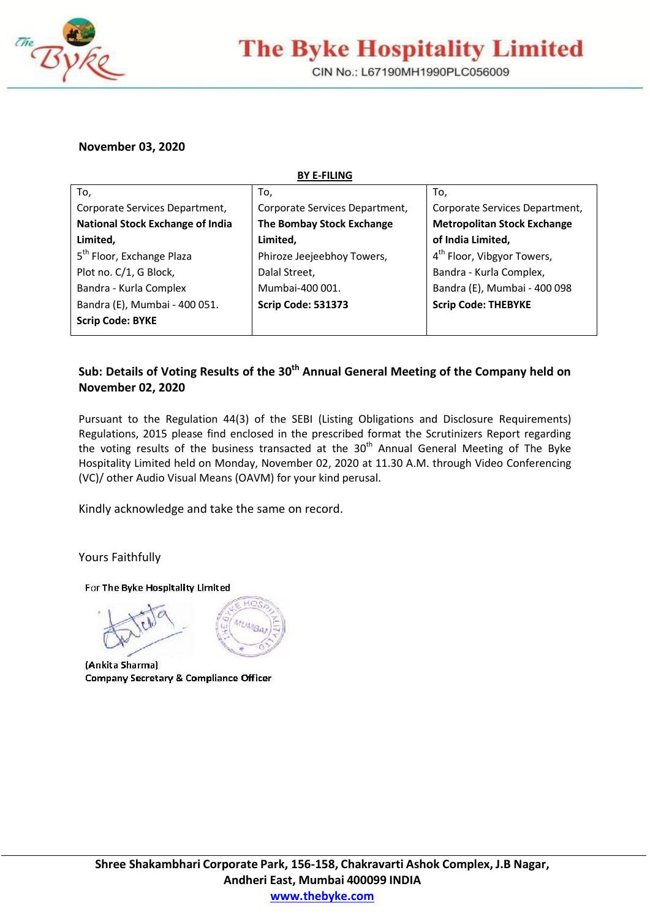

## **The Byke Hospitality Limited**

CIN No.: L67190MH1990PLC056009

## **November 03, 2020**

**BY E-FILING**

| To,                                     | To,                            | To,                                    |
|-----------------------------------------|--------------------------------|----------------------------------------|
| Corporate Services Department,          | Corporate Services Department, | Corporate Services Department,         |
| <b>National Stock Exchange of India</b> | The Bombay Stock Exchange      | <b>Metropolitan Stock Exchange</b>     |
| Limited,                                | Limited,                       | of India Limited,                      |
| 5 <sup>th</sup> Floor, Exchange Plaza   | Phiroze Jeejeebhoy Towers,     | 4 <sup>th</sup> Floor, Vibgyor Towers, |
| Plot no. C/1, G Block,                  | Dalal Street,                  | Bandra - Kurla Complex,                |
| Bandra - Kurla Complex                  | Mumbai-400 001.                | Bandra (E), Mumbai - 400 098           |
| Bandra (E), Mumbai - 400 051.           | <b>Scrip Code: 531373</b>      | <b>Scrip Code: THEBYKE</b>             |
| <b>Scrip Code: BYKE</b>                 |                                |                                        |
|                                         |                                |                                        |

## **Sub: Details of Voting Results of the 30th Annual General Meeting of the Company held on November 02, 2020**

Pursuant to the Regulation 44(3) of the SEBI (Listing Obligations and Disclosure Requirements) Regulations, 2015 please find enclosed in the prescribed format the Scrutinizers Report regarding the voting results of the business transacted at the  $30<sup>th</sup>$  Annual General Meeting of The Byke Hospitality Limited held on Monday, November 02, 2020 at 11.30 A.M. through Video Conferencing (VC)/ other Audio Visual Means (OAVM) for your kind perusal.

Kindly acknowledge and take the same on record.

Yours Faithfully

For The Byke Hospitality Limited

(Ankita Sharma) **Company Secretary & Compliance Officer**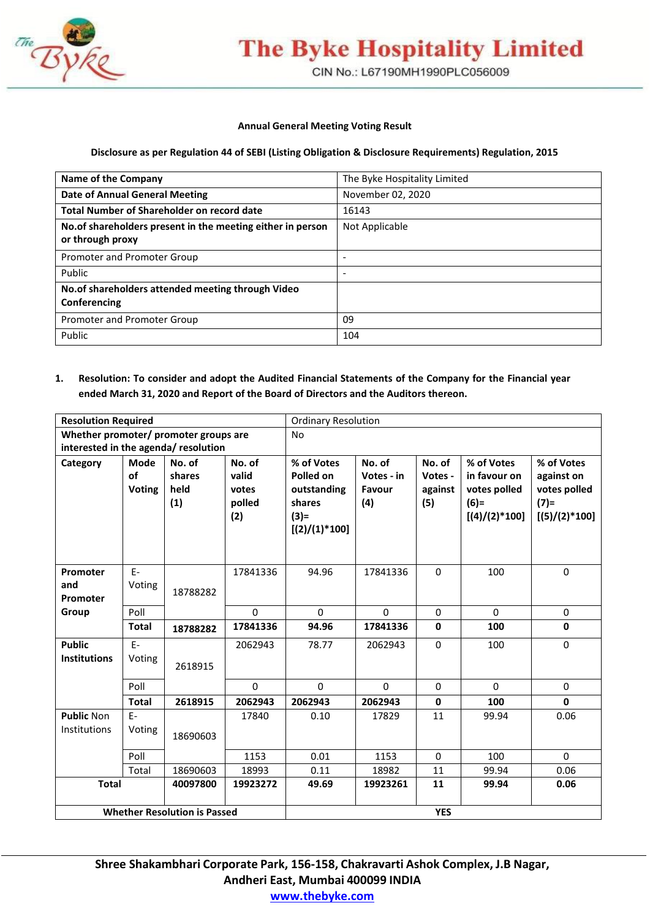

# **The Byke Hospitality Limited**

CIN No.: L67190MH1990PLC056009

#### **Annual General Meeting Voting Result**

#### **Disclosure as per Regulation 44 of SEBI (Listing Obligation & Disclosure Requirements) Regulation, 2015**

| <b>Name of the Company</b>                                                     | The Byke Hospitality Limited |
|--------------------------------------------------------------------------------|------------------------------|
| <b>Date of Annual General Meeting</b>                                          | November 02, 2020            |
| Total Number of Shareholder on record date                                     | 16143                        |
| No.of shareholders present in the meeting either in person<br>or through proxy | Not Applicable               |
| Promoter and Promoter Group                                                    |                              |
| Public                                                                         |                              |
| No. of shareholders attended meeting through Video<br>Conferencing             |                              |
| Promoter and Promoter Group                                                    | 09                           |
| Public                                                                         | 104                          |

## **1. Resolution: To consider and adopt the Audited Financial Statements of the Company for the Financial year ended March 31, 2020 and Report of the Board of Directors and the Auditors thereon.**

| <b>Resolution Required</b>            |                                    |                                     |                                           | <b>Ordinary Resolution</b>                                                     |                                       |                                     |                                                                         |                                                                        |
|---------------------------------------|------------------------------------|-------------------------------------|-------------------------------------------|--------------------------------------------------------------------------------|---------------------------------------|-------------------------------------|-------------------------------------------------------------------------|------------------------------------------------------------------------|
| Whether promoter/ promoter groups are |                                    |                                     |                                           | <b>No</b>                                                                      |                                       |                                     |                                                                         |                                                                        |
| interested in the agenda/ resolution  |                                    |                                     |                                           |                                                                                |                                       |                                     |                                                                         |                                                                        |
| Category                              | <b>Mode</b><br>of<br><b>Voting</b> | No. of<br>shares<br>held<br>(1)     | No. of<br>valid<br>votes<br>polled<br>(2) | % of Votes<br>Polled on<br>outstanding<br>shares<br>$(3) =$<br>$[(2)/(1)*100]$ | No. of<br>Votes - in<br>Favour<br>(4) | No. of<br>Votes -<br>against<br>(5) | % of Votes<br>in favour on<br>votes polled<br>$(6)=$<br>$[(4)/(2)*100]$ | % of Votes<br>against on<br>votes polled<br>$(7)$ =<br>$[(5)/(2)*100]$ |
| Promoter<br>and<br>Promoter           | $F -$<br>Voting                    | 18788282                            | 17841336                                  | 94.96                                                                          | 17841336                              | $\Omega$                            | 100                                                                     | $\Omega$                                                               |
| Group                                 | Poll                               |                                     | $\Omega$                                  | $\Omega$                                                                       | $\Omega$                              | 0                                   | $\Omega$                                                                | $\mathbf 0$                                                            |
|                                       | <b>Total</b>                       | 18788282                            | 17841336                                  | 94.96                                                                          | 17841336                              | $\mathbf 0$                         | 100                                                                     | $\mathbf 0$                                                            |
| <b>Public</b><br><b>Institutions</b>  | $E-$<br>Voting                     | 2618915                             | 2062943                                   | 78.77                                                                          | 2062943                               | $\Omega$                            | 100                                                                     | $\Omega$                                                               |
|                                       | Poll                               |                                     | $\Omega$                                  | $\Omega$                                                                       | $\Omega$                              | 0                                   | $\mathbf 0$                                                             | $\mathbf 0$                                                            |
|                                       | <b>Total</b>                       | 2618915                             | 2062943                                   | 2062943                                                                        | 2062943                               | $\mathbf 0$                         | 100                                                                     | $\mathbf{0}$                                                           |
| <b>Public Non</b><br>Institutions     | $E-$<br>Voting                     | 18690603                            | 17840                                     | 0.10                                                                           | 17829                                 | 11                                  | 99.94                                                                   | 0.06                                                                   |
|                                       | Poll                               |                                     | 1153                                      | 0.01                                                                           | 1153                                  | $\mathbf 0$                         | 100                                                                     | $\Omega$                                                               |
|                                       | Total                              | 18690603                            | 18993                                     | 0.11                                                                           | 18982                                 | 11                                  | 99.94                                                                   | 0.06                                                                   |
| <b>Total</b><br>40097800<br>19923272  |                                    | 49.69                               | 19923261                                  | 11                                                                             | 99.94                                 | 0.06                                |                                                                         |                                                                        |
|                                       |                                    | <b>Whether Resolution is Passed</b> |                                           | <b>YES</b>                                                                     |                                       |                                     |                                                                         |                                                                        |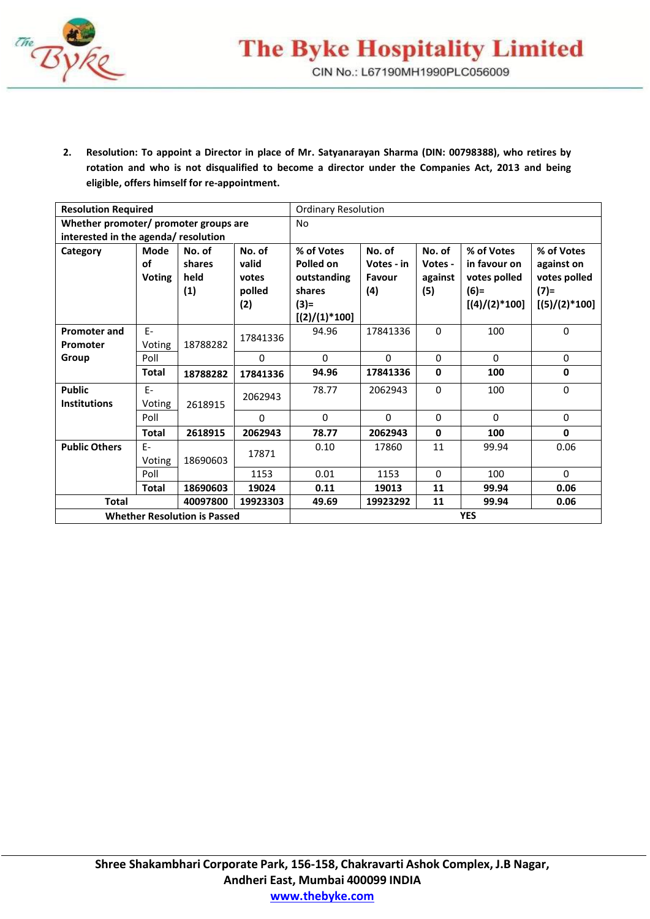

**2. Resolution: To appoint a Director in place of Mr. Satyanarayan Sharma (DIN: 00798388), who retires by rotation and who is not disqualified to become a director under the Companies Act, 2013 and being eligible, offers himself for re-appointment.**

| <b>Resolution Required</b>            |                             |                                     |                                           | <b>Ordinary Resolution</b>                                                     |                                       |                                     |                                                                         |                                                                        |
|---------------------------------------|-----------------------------|-------------------------------------|-------------------------------------------|--------------------------------------------------------------------------------|---------------------------------------|-------------------------------------|-------------------------------------------------------------------------|------------------------------------------------------------------------|
| Whether promoter/ promoter groups are |                             |                                     |                                           | <b>No</b>                                                                      |                                       |                                     |                                                                         |                                                                        |
| interested in the agenda/ resolution  |                             |                                     |                                           |                                                                                |                                       |                                     |                                                                         |                                                                        |
| Category                              | Mode<br>of<br><b>Voting</b> | No. of<br>shares<br>held<br>(1)     | No. of<br>valid<br>votes<br>polled<br>(2) | % of Votes<br>Polled on<br>outstanding<br>shares<br>$(3) =$<br>$[(2)/(1)*100]$ | No. of<br>Votes - in<br>Favour<br>(4) | No. of<br>Votes -<br>against<br>(5) | % of Votes<br>in favour on<br>votes polled<br>$(6)=$<br>$[(4)/(2)*100]$ | % of Votes<br>against on<br>votes polled<br>$(7)$ =<br>$[(5)/(2)*100]$ |
| <b>Promoter and</b>                   | F-                          |                                     | 17841336                                  | 94.96                                                                          | 17841336                              | $\Omega$                            | 100                                                                     | $\mathbf 0$                                                            |
| Promoter                              | Voting                      | 18788282                            |                                           |                                                                                |                                       |                                     |                                                                         |                                                                        |
| Group                                 | Poll                        |                                     | $\mathbf 0$                               | $\mathbf{0}$                                                                   | $\Omega$                              | $\Omega$                            | $\mathbf{0}$                                                            | $\mathbf 0$                                                            |
|                                       | <b>Total</b>                | 18788282                            | 17841336                                  | 94.96                                                                          | 17841336                              | $\mathbf{0}$                        | 100                                                                     | $\mathbf 0$                                                            |
| <b>Public</b><br><b>Institutions</b>  | $F -$<br>Voting             | 2618915                             | 2062943                                   | 78.77                                                                          | 2062943                               | $\Omega$                            | 100                                                                     | $\mathbf 0$                                                            |
|                                       | Poll                        |                                     | $\Omega$                                  | $\Omega$                                                                       | $\Omega$                              | $\Omega$                            | $\Omega$                                                                | $\mathbf 0$                                                            |
|                                       | <b>Total</b>                | 2618915                             | 2062943                                   | 78.77                                                                          | 2062943                               | $\mathbf{0}$                        | 100                                                                     | $\mathbf 0$                                                            |
| <b>Public Others</b>                  | $F -$<br>Voting             | 18690603                            | 17871                                     | 0.10                                                                           | 17860                                 | 11                                  | 99.94                                                                   | 0.06                                                                   |
|                                       | Poll                        |                                     | 1153                                      | 0.01                                                                           | 1153                                  | $\Omega$                            | 100                                                                     | $\Omega$                                                               |
|                                       | <b>Total</b>                | 18690603                            | 19024                                     | 0.11                                                                           | 19013                                 | 11                                  | 99.94                                                                   | 0.06                                                                   |
| <b>Total</b>                          |                             | 40097800                            | 19923303                                  | 49.69                                                                          | 19923292                              | 11                                  | 99.94                                                                   | 0.06                                                                   |
|                                       |                             | <b>Whether Resolution is Passed</b> |                                           | <b>YES</b>                                                                     |                                       |                                     |                                                                         |                                                                        |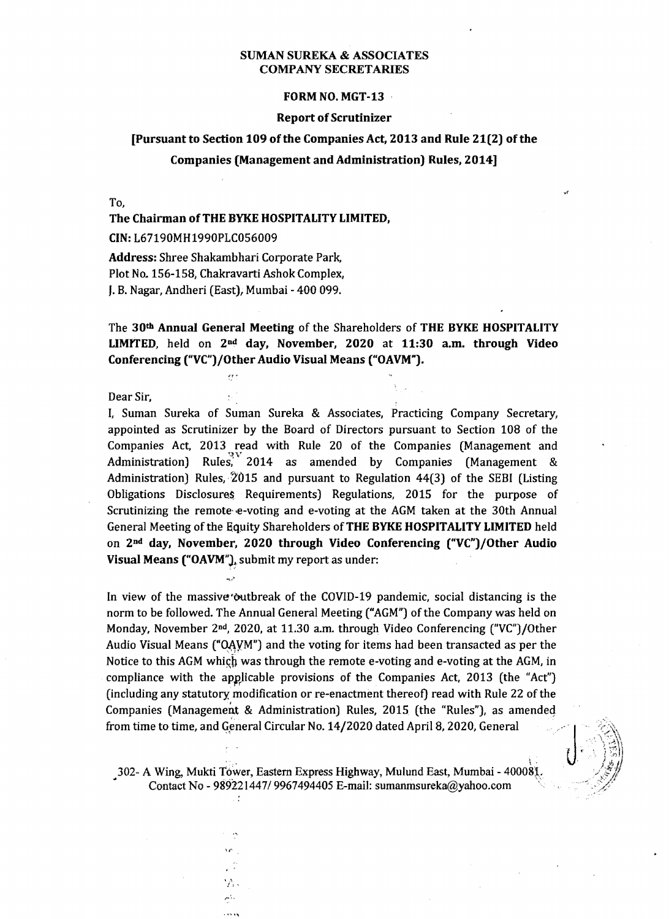#### FORM NO. MGT-13

#### **Report of Scrutinizer**

#### [Pursuant to Section 109 of the Companies Act, 2013 and Rule 21(2) of the

#### Companies (Management and Administration) Rules, 2014]

To,

#### The Chairman of THE BYKE HOSPITALITY LIMITED,

CIN: L67190MH1990PLC056009

Address: Shree Shakambhari Corporate Park, Plot No. 156-158, Chakravarti Ashok Complex, J. B. Nagar, Andheri (East), Mumbai - 400 099.

The 30th Annual General Meeting of the Shareholders of THE BYKE HOSPITALITY LIMITED, held on  $2<sup>nd</sup>$  day, November, 2020 at 11:30 a.m. through Video Conferencing ("VC")/Other Audio Visual Means ("OAVM").

Dear Sir.

I, Suman Sureka of Suman Sureka & Associates, Practicing Company Secretary, appointed as Scrutinizer by the Board of Directors pursuant to Section 108 of the Companies Act, 2013 read with Rule 20 of the Companies (Management and Administration) Rules, 2014 as amended by Companies (Management & Administration) Rules,  $2015$  and pursuant to Regulation 44(3) of the SEBI (Listing Obligations Disclosures Requirements) Regulations, 2015 for the purpose of Scrutinizing the remote-e-voting and e-voting at the AGM taken at the 30th Annual General Meeting of the Equity Shareholders of THE BYKE HOSPITALITY LIMITED held on 2nd day, November, 2020 through Video Conferencing ("VC")/Other Audio Visual Means ("OAVM"), submit my report as under:

In view of the massive outbreak of the COVID-19 pandemic, social distancing is the norm to be followed. The Annual General Meeting ("AGM") of the Company was held on Monday, November 2<sup>nd</sup>, 2020, at 11.30 a.m. through Video Conferencing ("VC")/Other Audio Visual Means ("OAVM") and the voting for items had been transacted as per the Notice to this AGM which was through the remote e-voting and e-voting at the AGM, in compliance with the applicable provisions of the Companies Act, 2013 (the "Act") (including any statutory modification or re-enactment thereof) read with Rule 22 of the Companies (Management & Administration) Rules, 2015 (the "Rules"), as amended from time to time, and General Circular No. 14/2020 dated April 8, 2020, General

. The contract of the contract of the contract of  $\mathbb{R}^2$ 302- A Wing, Mukti Tower, Eastern Express Highway, Mulund East, Mumbai - 400081. Contact No - 989221447/9967494405 E-mail: sumanmsureka@yahoo.com

> ,<br>,  $\hat{f}_i$  , "...'.,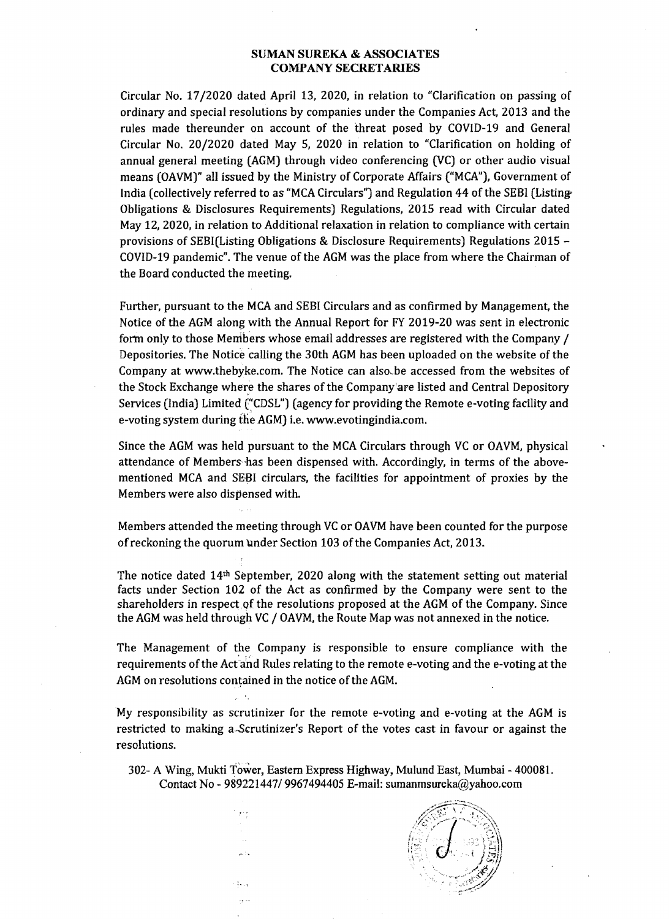Circular No. 17/2020 dated April 13, 2020, in relation to "Clarification on passing of ordinary and special resolutions by companies under the Companies Act, 2013 and the rules made thereunder on account of the threat posed by COVID-19 and General Circular No. 20/2020 dated May 5, 2020 in relation to "Clarification on holding of annual general meeting (AGM) through video conferencing (VC) or other audio visual means (OAVM)" all issued by the Ministry of Corporate Affairs ("MCA"), Government of India (collectively referred to as "MCA Circulars") and Regulation 44 of the SEBI (Listing-Obligations & Disclosures Requirements) Regulations, 2015 read with Circular dated May 12, 2020, in relation to Additional relaxation in relation to compliance with certain provisions of SEBI(Listing Obligations & Disclosure Requirements) Regulations 2015 COVID-19 pandemic". The venue of the AGM was the place from where the Chairman of the Board conducted the meeting.

Further, pursuant to the MCA and SEBI Circulars and as confirmed by Manpgement, the Notice of the AGM along with the Annual Report for FY 2019-20 was sent in electronic fortn only to those Merribers whose email addresses are registered with the Company / Depositories. The Notice 'calling the 30th AGM has been uploaded on the website of the Company at www.thebyke.com. The Notice can also,.be accessed from the websites of the Stock Exchange where the shares of the Company'are listed and Central Depository Services (India) Limited ("CDSL") (agency for providing the Remote e-voting facility and e-voting system during the AGM) i.e. www.evotingindia.com.

Since the AGM was held pursuant to the MCA Circulars through VC or OAVM, physical attendance of Members-has been dispensed with. Accordingly, in terms of the abovementioned MCA and SEBI circulars, the facilities for appointment of proxies by the Members were also dispensed with.

Members attended the meeting through VC or OAVM have been counted for the purpose of reckoning the quorum under Section 103 of the Companies Act, 2013.

The notice dated 14th September, 2020 along with the statement setting out material facts under Section 102 of the Act as confirmed by the Company were sent to the shareholders in respect of the resolutions proposed at the AGM of the Company. Since the AGM was held through VC / OAVM, the Route Map was not annexed in the notice.

The Management of the Company is responsible to ensure compliance with the requirements of the Act'ahd Rules relating to the remote e-voting and the e-voting at the AGM on resolutions contained in the notice of the AGM.

My responsibility as scrutinizer for the remote e-voting and e-voting at the AGM is restricted to making a Scrutinizer's Report of the votes cast in favour or against the resolutions.

302- A Wing, Mukti Tower, Eastern Express Highway, Mulund East, Mumbai - 400081. Contact No - *989221447/9967494405* E-mail: sumanmsureka@yahoo.com

*. t-,* 

وذجر

 $\frac{4}{3}$  s  $\frac{1}{2}$ لمرد

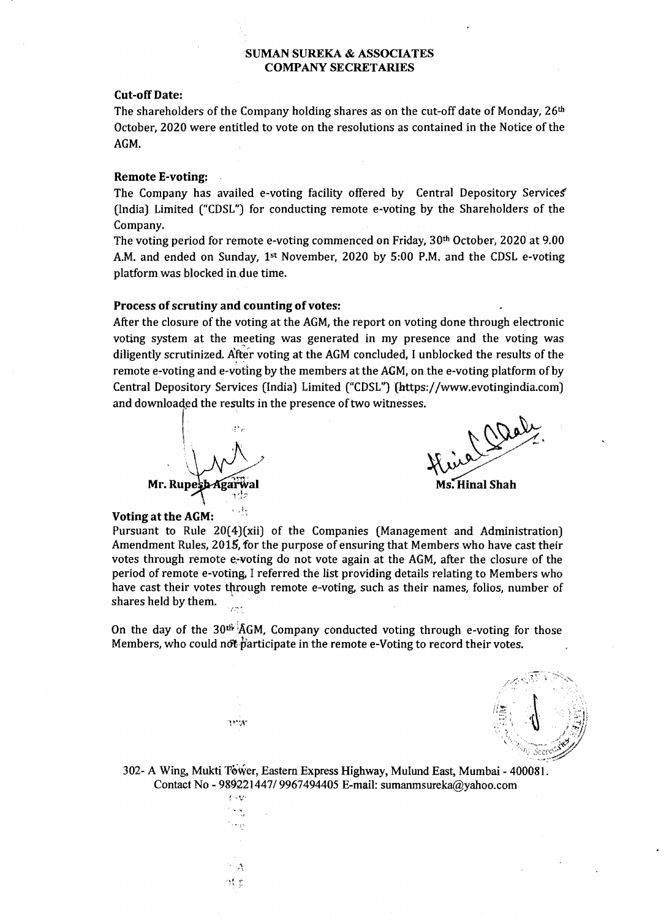#### Cut-off Date:

The shareholders of the Company holding shares as on the cut-off date of Monday,  $26<sup>th</sup>$ October, 2020 were entitled to vote on the resolutions as contained in the Notice of the AGM.

#### Remote E-voting:

The Company has availed e-voting facility offered by Central Depository Services' (India) Limited ("CDSL") for conducting remote e-voting by the Shareholders of the Company.

The voting period for remote e-voting commenced on Friday, 30th October, 2020 at 9.00 A.M. and ended on Sunday, 1st November, 2020 by 5:00 P.M. and the CDSL e-voting platform was blocked in due time.

#### Process of scrutiny and counting of votes:

After the closure of the voting at the AGM, the report on voting done through electronic voting system at the meeting was generated in my presence and the voting was diligently scrutinized. After voting at the AGM concluded, I unblocked the results of the remote e-voting and e-voting by the members at the AGM, on the e-voting platform of by Central Depository Services (India) Limited ("CDSL") {https://www.evotingindia.com) and downloaded the results in the presence of two witnesses.<br>After the closure of the voting at the AGM, the report on voting done through electronic<br>voting system at the meeting was generated in my presence and the voting



 $\frac{1}{2}$ .

15W

'0' .,

Ms. Hinal Shah

#### Voting at the AGM:

Pursuant to Rule 20(4)(xii) of the Companies (Management and Administration) Amendment Rules, 2015, for the purpose of ensuring that Members who have cast their votes through remote e.-voting do not vote again at the AGM, after the closure of the period of remote e-voting, I referred the list providing details relating to Members who have cast their votes through remote e-voting, such as their names, folios, number of shares held by them.

On the day of the  $30<sup>th</sup>$   $\widehat{A}GM$ , Company conducted voting through e-voting for those Members, who could not participate in the remote e-Voting to record their votes.



302- A Wing, Mukti Tower, Eastern Express Highway, Mulund East, Mumbai - 400081. Contact No - 989221447/9967494405 E-mail: sumanmsureka@yahoo.com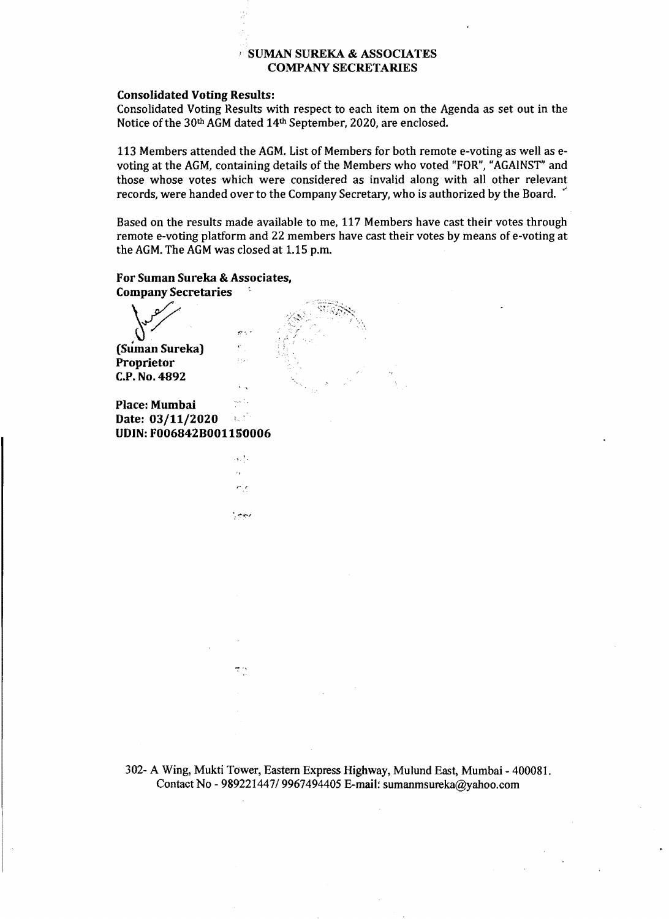#### Consolidated Voting Results:

Consolidated Voting Results with respect to each item on the Agenda as set out in the Notice of the 30<sup>th</sup> AGM dated 14<sup>th</sup> September, 2020, are enclosed.

113 Members attended the AGM. List of Members for both remote e-voting as well as e voting at the AGM, containing details of the Members who voted "FOR", "AGAINST" and those whose votes which were considered as invalid along with all other relevant records, were handed over to the Company Secretary, who is authorized by the Board.

Based on the results made available to me, 117 Members have cast their votes through remote e-voting platform and 22 members have cast their votes by means of e-voting at the AGM. The AGM was closed at 1.15 p.m.

For Suman Sureka & Associates, Company Secretaries

 $\sqrt{2}$ (Suman Sureka) Proprietor C.P. No. 4892

**Place: Mumbai** " " " " " **Date: 03/11/2020** Date: 03/11/2020 UDIN: F006842B001150006

÷,  $\epsilon$  is

i, ees

بالإيروج

 $\mathbb{C} \times \mathbb{Z}$ 

302- A Wing, Mukti Tower, Eastern Express Highway, Mulund East, Mumbai - 400081. Contact No - *989221447/9967494405* E-mail: sumanmsureka@yahoo.com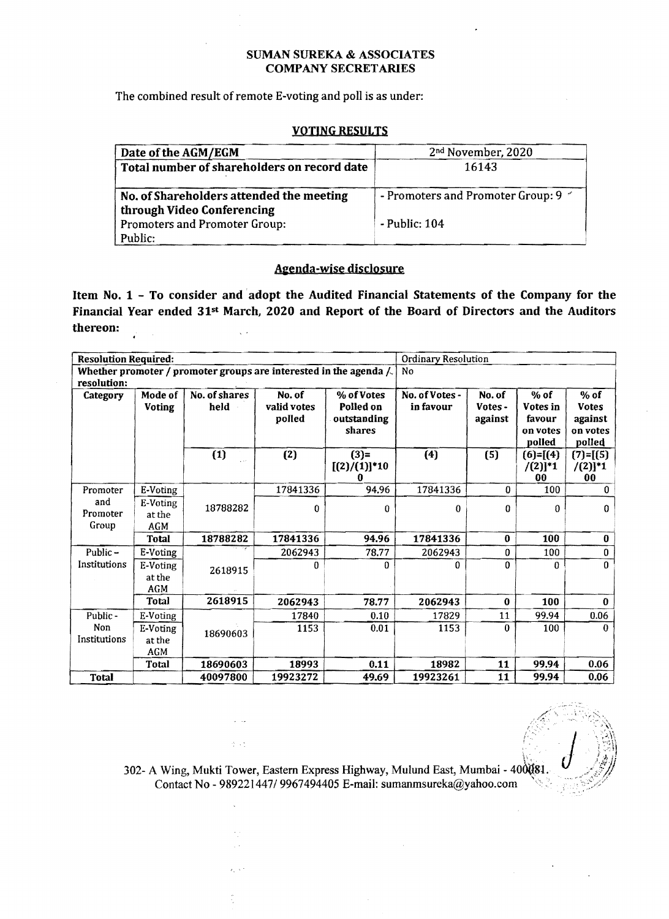The combined result of remote E-voting and poll is as under:

## VOTING RESULTS

| Date of the AGM/EGM                         | 2 <sup>nd</sup> November, 2020          |
|---------------------------------------------|-----------------------------------------|
| Total number of shareholders on record date | 16143                                   |
| No. of Shareholders attended the meeting    | - Promoters and Promoter Group: 9 $\le$ |
| through Video Conferencing                  |                                         |
| Promoters and Promoter Group:<br>Public:    | $-$ Public: $104$                       |

## Agenda-wise disclosure

Item No. 1 - To consider and·adopt the Audited Financial Statements of the Company for the Financial Year ended 31<sup>st</sup> March, 2020 and Report of the Board of Directors and the Auditors thereon: Ž.  $\sqrt{\beta}$ in Li

| <b>Resolution Required:</b> |                                  |                                                                    |                                 |                                                  | Ordinary Resolution         |                              |                                                    |                                                         |  |
|-----------------------------|----------------------------------|--------------------------------------------------------------------|---------------------------------|--------------------------------------------------|-----------------------------|------------------------------|----------------------------------------------------|---------------------------------------------------------|--|
| resolution:                 |                                  | Whether promoter / promoter groups are interested in the agenda /. |                                 |                                                  | No                          |                              |                                                    |                                                         |  |
| Category                    | Mode of<br><b>Voting</b>         | No. of shares<br>held                                              | No. of<br>valid votes<br>polled | % of Votes<br>Polled on<br>outstanding<br>shares | No. of Votes -<br>in favour | No. of<br>Votes -<br>against | $%$ of<br>Votes in<br>favour<br>on votes<br>polled | $%$ of<br><b>Votes</b><br>against<br>on votes<br>polled |  |
|                             |                                  | (1)                                                                | (2)                             | $(3)=$<br>$[(2)/(1)]$ *10<br>n                   | (4)                         | (5)                          | $(6)=[(4)]$<br>$/(2)]^{*}1$<br>00                  | $(7)=[(5)$<br>$/(2)]^{*}1$<br>00                        |  |
| Promoter                    | E-Voting                         |                                                                    | 17841336                        | 94.96                                            | 17841336                    | 0                            | 100                                                | 0                                                       |  |
| and<br>Promoter<br>Group    | E-Voting<br>at the<br><b>AGM</b> | 18788282                                                           | 0                               | 0                                                | $\bf{0}$                    | $\Omega$                     | $\Omega$                                           | 0                                                       |  |
|                             | Total                            | 18788282                                                           | 17841336                        | 94.96                                            | 17841336                    | $\bf{0}$                     | 100                                                | 0                                                       |  |
| Public $-$                  | E-Voting                         |                                                                    | 2062943                         | 78.77                                            | 2062943                     | $\mathbf{0}$                 | 100                                                | 0                                                       |  |
| Institutions                | E-Voting<br>at the<br><b>AGM</b> | 2618915                                                            | 0                               | 0                                                | 0                           | $\Omega$                     | $\Omega$                                           | 0                                                       |  |
|                             | Total                            | 2618915                                                            | 2062943                         | 78.77                                            | 2062943                     | $\bf{0}$                     | 100                                                | $\bf{0}$                                                |  |
| Public-                     | E-Voting                         |                                                                    | 17840                           | 0.10                                             | 17829                       | 11                           | 99.94                                              | 0.06                                                    |  |
| Non<br>Institutions         | E-Voting<br>at the<br>AGM        | 18690603                                                           | 1153                            | 0.01                                             | 1153                        | 0                            | 100                                                | 0                                                       |  |
|                             | Total                            | 18690603                                                           | 18993                           | 0.11                                             | 18982                       | 11                           | 99.94                                              | 0.06                                                    |  |
| <b>Total</b>                |                                  | 40097800                                                           | 19923272                        | 49.69                                            | 19923261                    | 11                           | 99.94                                              | 0.06                                                    |  |

302- A Wing, Mukti Tower, Eastern Express Highway, Mulund East, Mumbai - 400081. Contact No - 989221447/9967494405 E-mail: sumanmsureka@yahoo.com ",

 $\omega \rightarrow \omega$ 

 $\gamma \rightarrow \gamma$ 

 $\epsilon_{\rm B}$ Ļ,

فأورج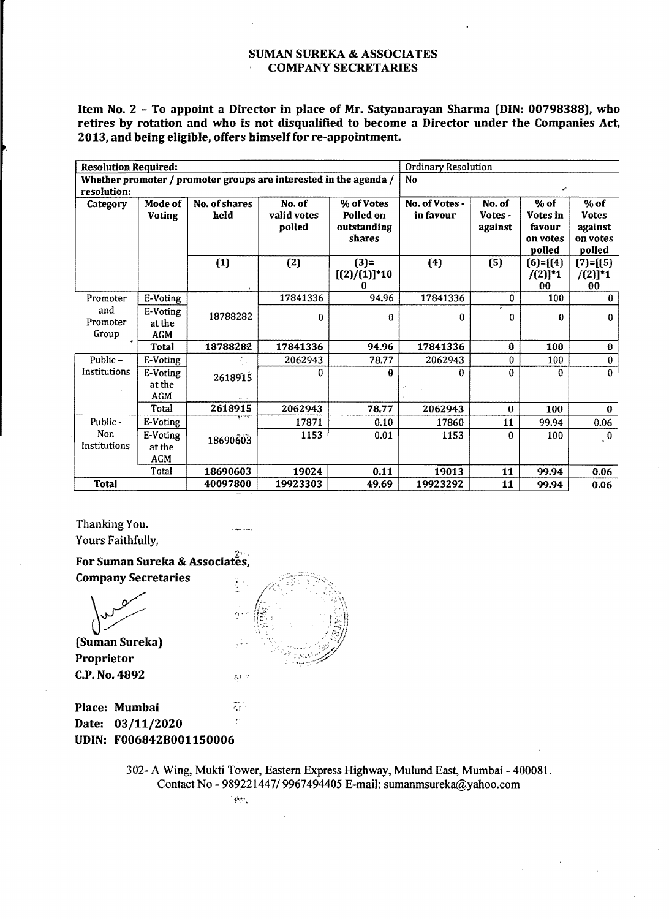Item No.2 - To appoint a Director in place of Mr. Satyanarayan Sharma (DIN: 00798388), who retires by rotation and who is not disqualified to become a Director under the Companies Act, 2013, and being eligible, offers himself for re-appointment.

| <b>Resolution Required:</b> |                                  |                                                                   |                                 | Ordinary Resolution                              |                             |                              |                                                    |                                                         |  |
|-----------------------------|----------------------------------|-------------------------------------------------------------------|---------------------------------|--------------------------------------------------|-----------------------------|------------------------------|----------------------------------------------------|---------------------------------------------------------|--|
| resolution:                 |                                  | Whether promoter / promoter groups are interested in the agenda / |                                 |                                                  | <b>No</b><br>عب             |                              |                                                    |                                                         |  |
| <b>Category</b>             | Mode of<br><b>Voting</b>         | No. of shares<br>held                                             | No. of<br>valid votes<br>polled | % of Votes<br>Polled on<br>outstanding<br>shares | No. of Votes -<br>in favour | No. of<br>Votes -<br>against | $%$ of<br>Votes in<br>favour<br>on votes<br>polled | $%$ of<br><b>Votes</b><br>against<br>on votes<br>polled |  |
|                             |                                  | (1)                                                               | (2)                             | $(3)$ =<br>$[(2)/(1)]$ <sup>*</sup> 10           | (4)                         | (5)                          | $(6)=[(4)]$<br>$/(2)]^{*}1$<br>00                  | $(7) = [(5)]$<br>$/(2)]^{*}1$<br>00                     |  |
| Promoter                    | E-Voting                         |                                                                   | 17841336                        | 94.96                                            | 17841336                    | $\bf{0}$                     | 100                                                | $\bf{0}$                                                |  |
| and<br>Promoter<br>Group    | E-Voting<br>at the<br><b>AGM</b> | 18788282                                                          | $\bf{0}$                        | $\theta$                                         | $\mathbf{0}$                | 0                            | 0                                                  | $\Omega$                                                |  |
| $\bullet$                   | <b>Total</b>                     | 18788282                                                          | 17841336                        | 94.96                                            | 17841336                    | $\bf{0}$                     | 100                                                | $\bf{0}$                                                |  |
| Public-                     | E-Voting                         |                                                                   | 2062943                         | 78.77                                            | 2062943                     | 0                            | 100                                                | $\bf{0}$                                                |  |
| Institutions                | E-Voting<br>at the<br><b>AGM</b> | 2618915                                                           | 0                               | g                                                | 0                           | $\theta$                     | 0                                                  | $\Omega$                                                |  |
|                             | Total                            | 2618915                                                           | 2062943                         | 78.77                                            | 2062943                     | $\mathbf 0$                  | 100                                                | $\mathbf 0$                                             |  |
| Public-                     | E-Voting                         |                                                                   | 17871                           | 0.10                                             | 17860                       | 11                           | 99.94                                              | 0.06                                                    |  |
| Non<br>Institutions         | E-Voting<br>at the<br><b>AGM</b> | 18690603                                                          | 1153                            | 0.01                                             | 1153                        | 0                            | 100                                                | $\ddot{\phantom{0}}$                                    |  |
|                             | Total                            | 18690603                                                          | 19024                           | 0.11                                             | 19013                       | 11                           | 99.94                                              | 0.06                                                    |  |
| <b>Total</b>                |                                  | 40097800                                                          | 19923303                        | 49.69                                            | 19923292                    | 11                           | 99,94                                              | 0.06                                                    |  |

Thanking You. Yours Faithfully,

?t > For Suman Sureka & Associates, Company Secretaries

(Suman Sureka)

Proprietor C.P. No. 4892



**Place: Mumbai** *Final* Date: 03/11/2020 UDIN: F006842B001150006

> 302- A Wing, Mukti Tower, Eastern Express Highway, Mulund East, Mumbai - 400081. Contact No - *989221447/9967494405* E-mail: sumanmsureka@yahoo.com

> > $\hat{\mathbf{C}}^{\text{obs}}$  .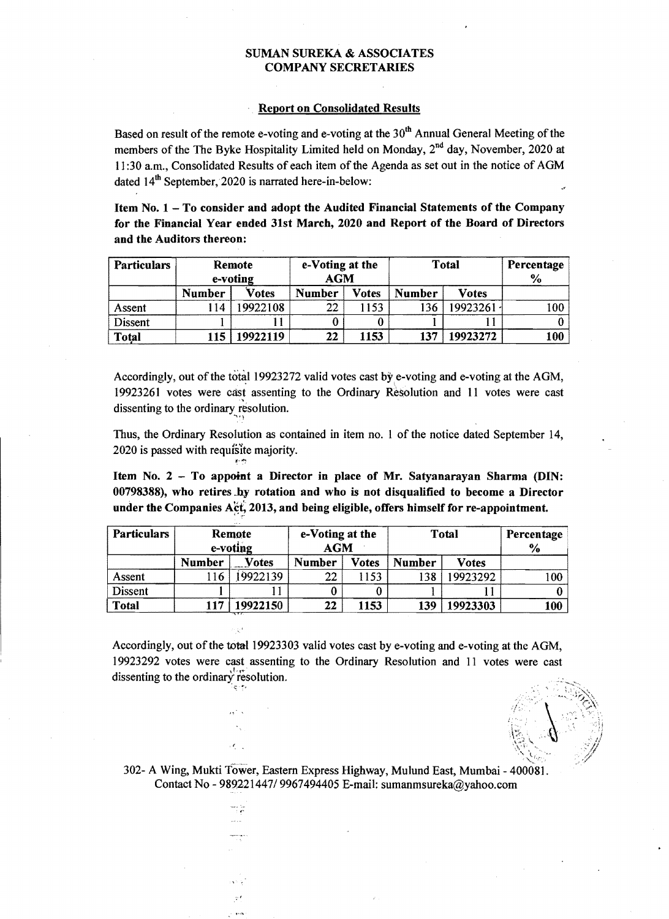## Report on Consolidated Results

Based on result of the remote e-voting and e-voting at the  $30<sup>th</sup>$  Annual General Meeting of the members of the The Byke Hospitality Limited held on Monday,  $2^{nd}$  day, November, 2020 at 11:30 a.m., Consolidated Results of each item of the Agenda as set out in the notice of AGM dated 14<sup>th</sup> September, 2020 is narrated here-in-below:

Item No.1 - To consider and adopt the Audited Financial Statements of the Company for the Financial Year ended 31st March, 2020 and Report of the Board of Directors and the Auditors thereon:

| <b>Particulars</b> | Remote<br>e-voting |          | e-Voting at the<br>$\mathbf{AGM}$ |       | <b>Total</b>  | Percentage<br>$\%$ |     |
|--------------------|--------------------|----------|-----------------------------------|-------|---------------|--------------------|-----|
|                    | <b>Number</b>      | Votes    | <b>Number</b>                     | Votes | <b>Number</b> | <b>Votes</b>       |     |
| Assent             | 14                 | 9922108  | 22                                | 1153  | 136           | 19923261 -         | 100 |
| Dissent            |                    |          |                                   |       |               |                    |     |
| <b>Total</b>       | 115                | 19922119 | 22                                | 1153  | 137           | 19923272           | 100 |

Accordingly, out of the total 19923272 valid votes cast by e-voting and e-voting at the AGM, 19923261 votes were cast assenting to the Ordinary Resolution and 11 votes were cast dissenting to the ordinary resolution.

Thus, the Ordinary Resolution as contained in item no. I of the notice dated September 14, 2020 is passed with requisite majority.

Item No. 2 - To appoint a Director in place of Mr. Satyanarayan Sharma (DIN: 00798388), who retires \_by rotation and who is not disqualified to become a Director under the Companies Act, 2013, and being eligible, offers himself for re-appointment.

| <b>Particulars</b> | Remote<br>e-voting |          | e-Voting at the<br><b>AGM</b> |              | <b>Total</b>  | Percentage<br>$\%$ |      |
|--------------------|--------------------|----------|-------------------------------|--------------|---------------|--------------------|------|
|                    | <b>Number</b>      | Votes    | <b>Number</b>                 | <b>Votes</b> | <b>Number</b> | <b>Votes</b>       |      |
| Assent             | l 16               | 9922139  | 22                            | 1153         | 138           | 19923292           | l 00 |
| <b>Dissent</b>     |                    |          |                               |              |               |                    |      |
| <b>Total</b>       | 117                | 19922150 | 22                            | 1153         | 139           | 19923303           | 100  |

Accordingly, out of the total 19923303 valid votes cast by e-voting and e-voting at the AGM, 19923292 votes were cast assenting to the Ordinary Resolution and 11 votes were cast dissenting to the ordinary resolution.

 $\sigma$  :  $\tau$   $\epsilon$ 

 $\mathcal{F}_{\mathcal{F}}$ 

302- A Wing, Mukti Tower, Eastern Express Highway, Mulund East, Mumbai - 400081. Contact No - *989221447/9967494405* E-mail: sumanmsureka@yahoo.com